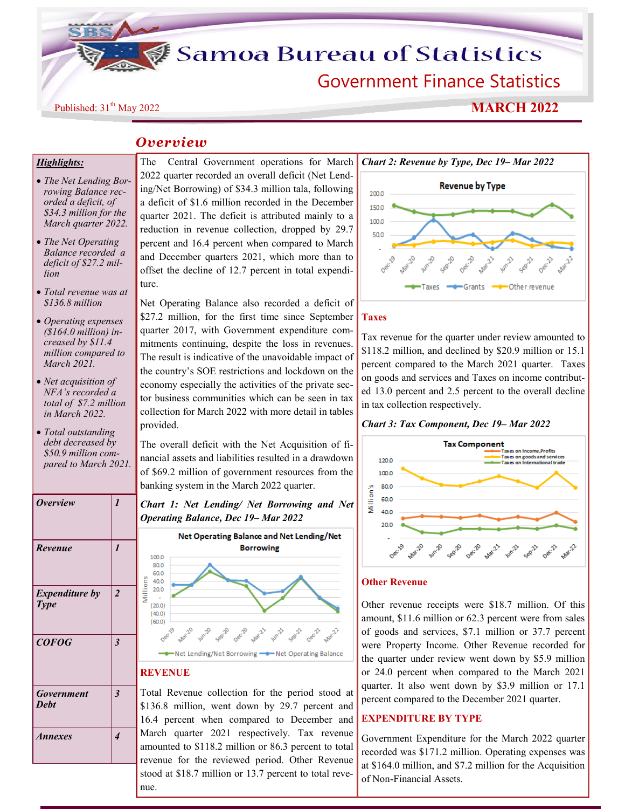**Samoa Bureau of Statistics** 

Government Finance Statistics

# Published: 31<sup>th</sup> May 2022<br>**MARCH 2022**

# *Overview*

## *Highlights:*

- *The Net Lending Borrowing Balance recorded a deficit, of \$34.3 million for the March quarter 2022.*
- *The Net Operating Balance recorded a deficit of \$27.2 million*
- *Total revenue was at \$136.8 million*
- *Operating expenses (\$164.0 million) increased by \$11.4 million compared to March 2021.*
- *Net acquisition of NFA's recorded a total of \$7.2 million in March 2022.*
- *Total outstanding debt decreased by \$50.9 million compared to March 2021.*

|                                      |                         | υσ                                 |
|--------------------------------------|-------------------------|------------------------------------|
| <b>Overview</b>                      | $\boldsymbol{l}$        | $\overline{C}$<br>$\boldsymbol{o}$ |
| Revenue                              | $\boldsymbol{l}$        |                                    |
| <b>Expenditure by</b><br><b>Type</b> | $\overline{\mathbf{c}}$ | Millions                           |
| <b>COFOG</b>                         | $\overline{\mathbf{3}}$ |                                    |
|                                      |                         | $\overline{\mathbf{R}}$            |
| Government<br><b>Debt</b>            | $\overline{\mathbf{3}}$ | T<br>\$1<br>16                     |
| Annexes                              | 4                       | M<br>ar<br>re                      |
|                                      |                         |                                    |

The Central Government operations for March 2022 quarter recorded an overall deficit (Net Lending/Net Borrowing) of \$34.3 million tala, following a deficit of \$1.6 million recorded in the December quarter 2021. The deficit is attributed mainly to a reduction in revenue collection, dropped by 29.7 percent and 16.4 percent when compared to March and December quarters 2021, which more than to offset the decline of 12.7 percent in total expenditure.

Net Operating Balance also recorded a deficit of \$27.2 million, for the first time since September quarter 2017, with Government expenditure commitments continuing, despite the loss in revenues. The result is indicative of the unavoidable impact of the country's SOE restrictions and lockdown on the economy especially the activities of the private sector business communities which can be seen in tax collection for March 2022 with more detail in tables provided.

The overall deficit with the Net Acquisition of financial assets and liabilities resulted in a drawdown of \$69.2 million of government resources from the banking system in the March 2022 quarter.





## **REVENUE**

Total Revenue collection for the period stood at \$136.8 million, went down by 29.7 percent and 16.4 percent when compared to December and March quarter 2021 respectively. Tax revenue amounted to \$118.2 million or 86.3 percent to total revenue for the reviewed period. Other Revenue stood at \$18.7 million or 13.7 percent to total revenue.



#### **Taxes**

Tax revenue for the quarter under review amounted to \$118.2 million, and declined by \$20.9 million or 15.1 percent compared to the March 2021 quarter. Taxes on goods and services and Taxes on income contributed 13.0 percent and 2.5 percent to the overall decline in tax collection respectively.

#### *Chart 3: Tax Component, Dec 19– Mar 2022*



#### **Other Revenue**

Other revenue receipts were \$18.7 million. Of this amount, \$11.6 million or 62.3 percent were from sales of goods and services, \$7.1 million or 37.7 percent were Property Income. Other Revenue recorded for the quarter under review went down by \$5.9 million or 24.0 percent when compared to the March 2021 quarter. It also went down by \$3.9 million or 17.1 percent compared to the December 2021 quarter.

#### **EXPENDITURE BY TYPE**

Government Expenditure for the March 2022 quarter recorded was \$171.2 million. Operating expenses was at \$164.0 million, and \$7.2 million for the Acquisition of Non-Financial Assets.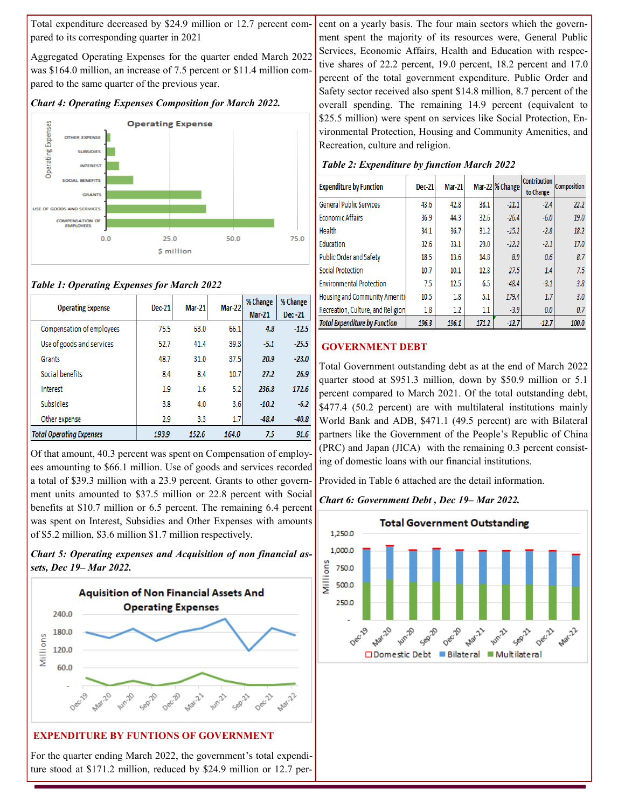Total expenditure decreased by \$24.9 million or 12.7 percent compared to its corresponding quarter in 2021

Aggregated Operating Expenses for the quarter ended March 2022 was \$164.0 million, an increase of 7.5 percent or \$11.4 million compared to the same quarter of the previous year.

*Chart 4: Operating Expenses Composition for March 2022.*



## *Table 1: Operating Expenses for March 2022*

| <b>Operating Expense</b>        | Dec-21 | <b>Mar-21</b> | Mar-22 | % Change<br>$Mar-21$ | % Change<br>Dec-21 |
|---------------------------------|--------|---------------|--------|----------------------|--------------------|
| Compensation of employees       | 75.5   | 63.0          | 66.1   | 4.8                  | $-12.5$            |
| Use of goods and services       | 52.7   | 41.4          | 39.3   | $-5.1$               | $-25.5$            |
| Grants                          | 48.7   | 31.0          | 37.5   | 20.9                 | $-23.0$            |
| Social benefits                 | 8.4    | 8.4           | 10.7   | 27.2                 | 26.9               |
| Interest                        | 1.9    | 1.6           | 5.2    | 236.8                | 172.6              |
| <b>Subsidies</b>                | 3.8    | 4.0           | 3.6    | $-10.2$              | $-6.2$             |
| Other expense                   | 2.9    | 3.3           | 1.7    | $-48.4$              | $-40.8$            |
| <b>Total Operating Expenses</b> | 193.9  | 152.6         | 164.0  | 7.5                  | 91.6               |

Of that amount, 40.3 percent was spent on Compensation of employees amounting to \$66.1 million. Use of goods and services recorded a total of \$39.3 million with a 23.9 percent. Grants to other government units amounted to \$37.5 million or 22.8 percent with Social benefits at \$10.7 million or 6.5 percent. The remaining 6.4 percent was spent on Interest, Subsidies and Other Expenses with amounts of \$5.2 million, \$3.6 million \$1.7 million respectively.





For the quarter ending March 2022, the government's total expenditure stood at \$171.2 million, reduced by \$24.9 million or 12.7 per-

cent on a yearly basis. The four main sectors which the government spent the majority of its resources were, General Public Services, Economic Affairs, Health and Education with respective shares of 22.2 percent, 19.0 percent, 18.2 percent and 17.0 percent of the total government expenditure. Public Order and Safety sector received also spent \$14.8 million, 8.7 percent of the overall spending. The remaining 14.9 percent (equivalent to \$25.5 million) were spent on services like Social Protection, Environmental Protection, Housing and Community Amenities, and Recreation, culture and religion.

### *Table 2: Expenditure by function March 2022*

| <b>Expenditure by Function</b>       | <b>Mar-21</b><br><b>Dec-21</b> |       |       | Mar-22 % Change | <b>Contribution</b><br>to Change | <b>Composition</b> |
|--------------------------------------|--------------------------------|-------|-------|-----------------|----------------------------------|--------------------|
| <b>General Public Services</b>       | 43.6                           | 42.8  | 38.1  | $-11.1$         | $-2.4$                           | 22.2               |
| <b>Economic Affairs</b>              | 36.9                           | 44.3  | 32.6  | $-26.4$         | $-6.0$                           | 19.0               |
| Health                               | 34.1                           | 36.7  | 31.2  | $-15.2$         | $-2.8$                           | 18.2               |
| Education                            | 32.6                           | 33.1  | 29.0  | $-12.2$         | $-2.1$                           | 17.0               |
| Public Order and Safety              | 18.5                           | 13.6  | 14.8  | 8.9             | 0.6                              | 8.7                |
| <b>Social Protection</b>             | 10.7                           | 10.1  | 12.8  | 27.5            | 1.4                              | 7.5                |
| <b>Environmental Protection</b>      | 7.5                            | 12.5  | 6.5   | $-48.4$         | $-3.1$                           | 3.8                |
| Housing and Community Ameniti        | 10.5                           | 1.8   | 5.1   | 179.4           | 1.7                              | 3.0                |
| Recreation, Culture, and Religion    | 1.8                            | 1.2   | 1.1   | $-3.9$          | 0.0                              | 0.7                |
| <b>Total Expenditure by Function</b> | 196.3                          | 196.1 | 171.2 | $-12.7$         | $-12.7$                          | 100.0              |

## **GOVERNMENT DEBT**

Total Government outstanding debt as at the end of March 2022 quarter stood at \$951.3 million, down by \$50.9 million or 5.1 percent compared to March 2021. Of the total outstanding debt, \$477.4 (50.2 percent) are with multilateral institutions mainly World Bank and ADB, \$471.1 (49.5 percent) are with Bilateral partners like the Government of the People's Republic of China (PRC) and Japan (JICA) with the remaining 0.3 percent consisting of domestic loans with our financial institutions.

Provided in Table 6 attached are the detail information.

#### *Chart 6: Government Debt , Dec 19– Mar 2022.*

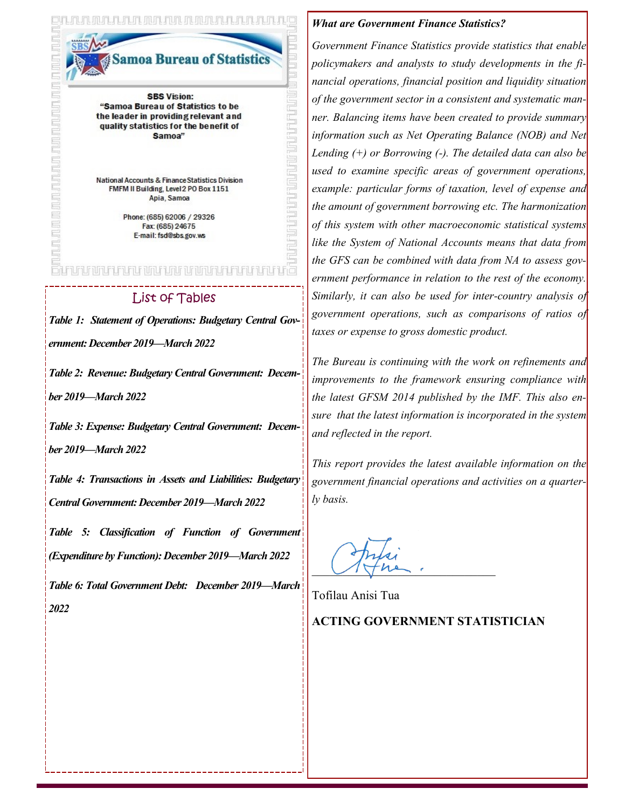<u>FAR FAR JIM DUR FAR FAR FAR F</u>

moa Bureau of Statistics

<u>THE RIBBO SHOP ASSESSED TO THE T</u>

**SBS Vision:** "Samoa Bureau of Statistics to be the leader in providing relevant and quality statistics for the benefit of Samoa"

National Accounts & Finance Statistics Division FMFM II Building, Level 2 PO Box 1151 Apia, Samoa

> Phone: (685) 62006 / 29326 Fax: (685) 24675 E-mail: fsd@sbs.gov.ws

# n en brun et een ein een volgunder e

# List of Tables

*Table 1: Statement of Operations: Budgetary Central Government: December 2019—March 2022*

*Table 2: Revenue: Budgetary Central Government: Decem-*

*ber 2019—March 2022*

*Table 3: Expense: Budgetary Central Government: December 2019—March 2022*

*Table 4: Transactions in Assets and Liabilities: Budgetary Central Government: December 2019—March 2022*

*Table 5: Classification of Function of Government (Expenditure by Function): December 2019—March 2022*

*Table 6: Total Government Debt: December 2019—March 2022*

#### *What are Government Finance Statistics?*

*Government Finance Statistics provide statistics that enable policymakers and analysts to study developments in the financial operations, financial position and liquidity situation of the government sector in a consistent and systematic manner. Balancing items have been created to provide summary information such as Net Operating Balance (NOB) and Net Lending (+) or Borrowing (-). The detailed data can also be used to examine specific areas of government operations, example: particular forms of taxation, level of expense and the amount of government borrowing etc. The harmonization of this system with other macroeconomic statistical systems like the System of National Accounts means that data from the GFS can be combined with data from NA to assess government performance in relation to the rest of the economy. Similarly, it can also be used for inter-country analysis of government operations, such as comparisons of ratios of taxes or expense to gross domestic product.* 

*The Bureau is continuing with the work on refinements and improvements to the framework ensuring compliance with the latest GFSM 2014 published by the IMF. This also ensure that the latest information is incorporated in the system and reflected in the report.* 

*This report provides the latest available information on the government financial operations and activities on a quarterly basis.*

 $\sqrt{1-\mu^2}$ .

Tofilau Anisi Tua

# **ACTING GOVERNMENT STATISTICIAN**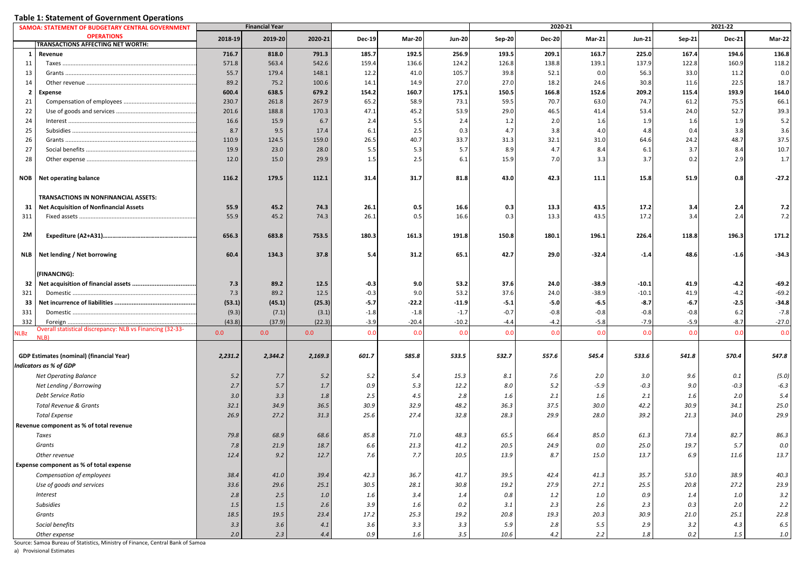| <b>Table 1: Statement of Government Operations</b> |
|----------------------------------------------------|
|----------------------------------------------------|

|                 | SAMOA: STATEMENT OF BUDGETARY CENTRAL GOVERNMENT                  |         | <b>Financial Year</b> |         |               |         |               |               | 2020-21       |               |               |        | 2021-22       |         |
|-----------------|-------------------------------------------------------------------|---------|-----------------------|---------|---------------|---------|---------------|---------------|---------------|---------------|---------------|--------|---------------|---------|
|                 | <b>OPERATIONS</b>                                                 | 2018-19 | 2019-20               | 2020-21 | <b>Dec-19</b> | Mar-20  | <b>Jun-20</b> | <b>Sep-20</b> | <b>Dec-20</b> | <b>Mar-21</b> | <b>Jun-21</b> | Sep-21 | <b>Dec-21</b> | Mar-22  |
|                 | TRANSACTIONS AFFECTING NET WORTH:                                 |         |                       |         |               |         |               |               |               |               |               |        |               |         |
| 1               | Revenue                                                           | 716.7   | 818.0                 | 791.3   | 185.7         | 192.5   | 256.9         | 193.5         | 209.1         | 163.7         | 225.0         | 167.4  | 194.6         | 136.8   |
| 11              | Taxes                                                             | 571.8   | 563.4                 | 542.6   | 159.4         | 136.6   | 124.2         | 126.8         | 138.8         | 139.1         | 137.9         | 122.8  | 160.9         | 118.2   |
| 13              |                                                                   | 55.7    | 179.4                 | 148.1   | 12.2          | 41.0    | 105.7         | 39.8          | 52.1          | 0.0           | 56.3          | 33.0   | 11.2          | 0.0     |
| 14              |                                                                   | 89.2    | 75.2                  | 100.6   | 14.1          | 14.9    | 27.0          | 27.0          | 18.2          | 24.6          | 30.8          | 11.6   | 22.5          | 18.7    |
| $\overline{2}$  | Expense                                                           | 600.4   | 638.5                 | 679.2   | 154.2         | 160.7   | 175.1         | 150.5         | 166.8         | 152.6         | 209.2         | 115.4  | 193.9         | 164.0   |
| 21              |                                                                   | 230.7   | 261.8                 | 267.9   | 65.2          | 58.9    | 73.1          | 59.5          | 70.7          | 63.0          | 74.7          | 61.2   | 75.5          | 66.1    |
| 22              |                                                                   | 201.6   | 188.8                 | 170.3   | 47.1          | 45.2    | 53.9          | 29.0          | 46.5          | 41.4          | 53.4          | 24.0   | 52.7          | 39.3    |
| 24              |                                                                   | 16.6    | 15.9                  | 6.7     | 2.4           | 5.5     | 2.4           | 1.2           | 2.0           | 1.6           | 1.9           | 1.6    | 1.9           | 5.2     |
| 25              |                                                                   | 8.7     | 9.5                   | 17.4    | 6.1           | 2.5     | 0.3           | 4.7           | 3.8           | 4.0           | 4.8           | 0.4    | 3.8           | 3.6     |
| 26              |                                                                   | 110.9   | 124.5                 | 159.0   | 26.5          | 40.7    | 33.7          | 31.3          | 32.1          | 31.0          | 64.6          | 24.2   | 48.7          | 37.5    |
| 27              |                                                                   | 19.9    | 23.0                  | 28.0    | 5.5           | 5.3     | 5.7           | 8.9           | 4.7           | 8.4           | 6.1           | 3.7    | 8.4           | 10.7    |
| 28              |                                                                   | 12.0    | 15.0                  | 29.9    | 1.5           | 2.5     | 6.1           | 15.9          | 7.0           | 3.3           | 3.7           | 0.2    | 2.9           | 1.7     |
| NOB             | <b>Net operating balance</b>                                      | 116.2   | 179.5                 | 112.1   | 31.4          | 31.7    | 81.8          | 43.0          | 42.3          | 11.1          | 15.8          | 51.9   | 0.8           | $-27.2$ |
|                 | TRANSACTIONS IN NONFINANCIAL ASSETS:                              |         |                       |         |               |         |               |               |               |               |               |        |               |         |
| 31              | <b>Net Acquisition of Nonfinancial Assets</b>                     | 55.9    | 45.2                  | 74.3    | 26.1          | 0.5     | 16.6          | 0.3           | 13.3          | 43.5          | 17.2          | 3.4    | 2.4           | 7.2     |
| 311             |                                                                   | 55.9    | 45.2                  | 74.3    | 26.1          | 0.5     | 16.6          | 0.3           | 13.3          | 43.5          | 17.2          | 3.4    | 2.4           | 7.2     |
|                 |                                                                   |         |                       |         |               |         |               |               |               |               |               |        |               |         |
| 2M              |                                                                   | 656.3   | 683.8                 | 753.5   | 180.3         | 161.3   | 191.8         | 150.8         | 180.1         | 196.1         | 226.4         | 118.8  | 196.3         | 171.2   |
| <b>NLB</b>      | Net lending / Net borrowing                                       | 60.4    | 134.3                 | 37.8    | 5.4           | 31.2    | 65.1          | 42.7          | 29.0          | $-32.4$       | $-1.4$        | 48.6   | $-1.6$        | $-34.3$ |
|                 | (FINANCING):                                                      |         |                       |         |               |         |               |               |               |               |               |        |               |         |
| 32 <sub>1</sub> |                                                                   | 7.3     | 89.2                  | 12.5    | $-0.3$        | 9.0     | 53.2          | 37.6          | 24.0          | $-38.9$       | $-10.1$       | 41.9   | -4.2          | $-69.2$ |
| 321             | Domestic                                                          | 7.3     | 89.2                  | 12.5    | $-0.3$        | 9.0     | 53.2          | 37.6          | 24.0          | $-38.9$       | $-10.1$       | 41.9   | $-4.2$        | $-69.2$ |
| 33              |                                                                   | (53.1)  | (45.1)                | (25.3)  | $-5.7$        | $-22.2$ | $-11.9$       | $-5.1$        | $-5.0$        | $-6.5$        | $-8.7$        | $-6.7$ | -2.5          | $-34.8$ |
| 331             | Domestic.                                                         | (9.3)   | (7.1)                 | (3.1)   | $-1.8$        | $-1.8$  | $-1.7$        | $-0.7$        | $-0.8$        | $-0.8$        | $-0.8$        | $-0.8$ | 6.2           | $-7.8$  |
| 332             |                                                                   | (43.8)  | (37.9)                | (22.3)  | $-3.9$        | $-20.4$ | $-10.2$       | $-4.4$        | $-4.2$        | $-5.8$        | $-7.9$        | $-5.9$ | $-8.7$        | $-27.0$ |
| <b>NLBz</b>     | Overall statistical discrepancy: NLB vs Financing (32-33-<br>NLB) | 0.0     | 0.0                   | 0.0     | 0.0           | 0.0     | 0.0           | 0.0           | 0.0           | 0.0           | 0.0           | 0.0    | 0.0           | 0.0     |
|                 |                                                                   |         |                       |         |               |         |               |               |               |               |               |        |               |         |
|                 | GDP Estimates (nominal) (financial Year)                          | 2,231.2 | 2,344.2               | 2,169.3 | 601.7         | 585.8   | 533.5         | 532.7         | 557.6         | 545.4         | 533.6         | 541.8  | 570.4         | 547.8   |
|                 | <b>Indicators as % of GDP</b>                                     |         |                       |         |               |         |               |               |               |               |               |        |               |         |
|                 | <b>Net Operating Balance</b>                                      | 5.2     | 7.7                   | 5.2     | 5.2           | 5.4     | 15.3          | 8.1           | 7.6           | 2.0           | 3.0           | 9.6    | 0.1           | (5.0)   |
|                 | Net Lending / Borrowing                                           | 2.7     | 5.7                   | 1.7     | 0.9           | 5.3     | 12.2          | 8.0           | 5.2           | $-5.9$        | $-0.3$        | 9.0    | $-0.3$        | $-6.3$  |
|                 | <b>Debt Service Ratio</b>                                         | 3.0     | 3.3                   | 1.8     | 2.5           | 4.5     | 2.8           | 1.6           | 2.1           | 1.6           | 2.1           | 1.6    | 2.0           | 5.4     |
|                 | <b>Total Revenue &amp; Grants</b>                                 | 32.1    | 34.9                  | 36.5    | 30.9          | 32.9    | 48.2          | 36.3          | 37.5          | 30.0          | 42.2          | 30.9   | 34.1          | 25.0    |
|                 | <b>Total Expense</b>                                              | 26.9    | 27.2                  | 31.3    | 25.6          | 27.4    | 32.8          | 28.3          | 29.9          | 28.0          | 39.2          | 21.3   | 34.0          | 29.9    |
|                 | Revenue component as % of total revenue                           |         |                       |         |               |         |               |               |               |               |               |        |               |         |
|                 | Taxes                                                             | 79.8    | 68.9                  | 68.6    | 85.8          | 71.0    | 48.3          | 65.5          | 66.4          | 85.0          | 61.3          | 73.4   | 82.7          | 86.3    |
|                 | Grants                                                            | 7.8     | 21.9                  | 18.7    | 6.6           | 21.3    | 41.2          | 20.5          | 24.9          | 0.0           | 25.0          | 19.7   | 5.7           | 0.0     |
|                 | Other revenue                                                     | 12.4    | 9.2                   | 12.7    | 7.6           | 7.7     | 10.5          | 13.9          | 8.7           | 15.0          | 13.7          | 6.9    | 11.6          | 13.7    |
|                 | Expense component as % of total expense                           |         |                       |         |               |         |               |               |               |               |               |        |               |         |
|                 | Compensation of employees                                         | 38.4    | 41.0                  | 39.4    | 42.3          | 36.7    | 41.7          | 39.5          | 42.4          | 41.3          | 35.7          | 53.0   | 38.9          | 40.3    |
|                 | Use of goods and services                                         | 33.6    | 29.6                  | 25.1    | 30.5          | 28.1    | 30.8          | 19.2          | 27.9          | 27.1          | 25.5          | 20.8   | 27.2          | 23.9    |
|                 | Interest                                                          | 2.8     | 2.5                   | 1.0     | 1.6           | 3.4     | 1.4           | 0.8           | 1.2           | 1.0           | 0.9           | 1.4    | 1.0           | 3.2     |
|                 | <b>Subsidies</b>                                                  | 1.5     | 1.5                   | 2.6     | 3.9           | $1.6\,$ | 0.2           | 3.1           | 2.3           | 2.6           | 2.3           | 0.3    | 2.0           | 2.2     |
|                 | Grants                                                            | 18.5    | 19.5                  | 23.4    | 17.2          | 25.3    | 19.2          | 20.8          | 19.3          | 20.3          | 30.9          | 21.0   | 25.1          | 22.8    |
|                 | Social benefits                                                   | 3.3     | 3.6                   | 4.1     | 3.6           | 3.3     | 3.3           | 5.9           | 2.8           | 5.5           | 2.9           | 3.2    | 4.3           | 6.5     |
|                 | Other expense                                                     | 2.0     | 2.3                   | 4.4     | 0.9           | $1.6\,$ | 3.5           | 10.6          | 4.2           | 2.2           | 1.8           | 0.2    | 1.5           | $1.0\,$ |
|                 |                                                                   |         |                       |         |               |         |               |               |               |               |               |        |               |         |

Source: Samoa Bureau of Statistics, Ministry of Finance, Central Bank of Samoa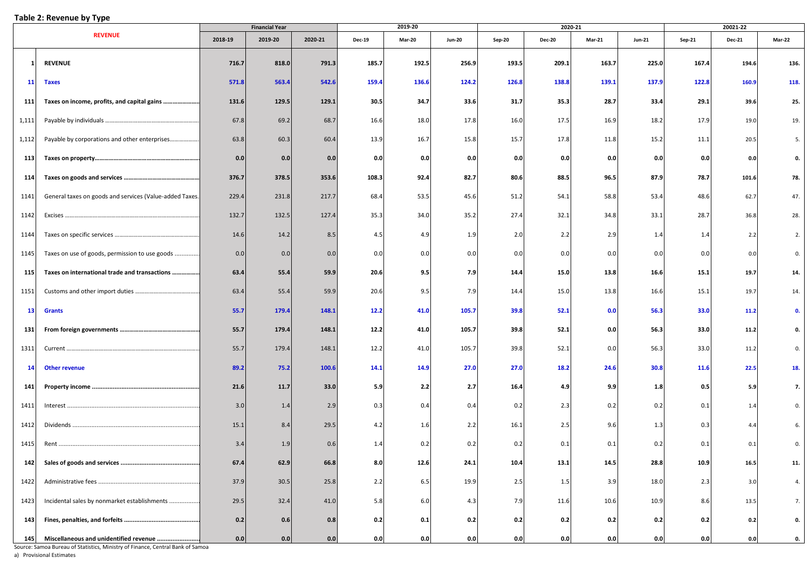#### **Table 2: Revenue by Type**

|       |                                                         |         | <b>Financial Year</b> |         |               | 2019-20       |               |               |               | 2020-21       |               |               | 20021-22      |               |
|-------|---------------------------------------------------------|---------|-----------------------|---------|---------------|---------------|---------------|---------------|---------------|---------------|---------------|---------------|---------------|---------------|
|       | <b>REVENUE</b>                                          | 2018-19 | 2019-20               | 2020-21 | <b>Dec-19</b> | <b>Mar-20</b> | <b>Jun-20</b> | <b>Sep-20</b> | <b>Dec-20</b> | <b>Mar-21</b> | <b>Jun-21</b> | <b>Sep-21</b> | <b>Dec-21</b> | <b>Mar-22</b> |
|       | <b>REVENUE</b>                                          | 716.7   | 818.0                 | 791.3   | 185.7         | 192.5         | 256.9         | 193.5         | 209.1         | 163.7         | 225.0         | 167.4         | 194.6         | 136.          |
| 11    | <b>Taxes</b>                                            | 571.8   | 563.4                 | 542.6   | 159.4         | 136.6         | 124.2         | 126.8         | 138.8         | 139.1         | 137.9         | 122.8         | 160.9         | 118.          |
| 111   | Taxes on income, profits, and capital gains             | 131.6   | 129.5                 | 129.1   | 30.5          | 34.7          | 33.6          | 31.7          | 35.3          | 28.7          | 33.4          | 29.1          | 39.6          | 25.           |
| 1,111 |                                                         | 67.8    | 69.2                  | 68.7    | 16.6          | 18.0          | 17.8          | 16.0          | 17.5          | 16.9          | 18.2          | 17.9          | 19.0          | 19.           |
| 1,112 | Payable by corporations and other enterprises           | 63.8    | 60.3                  | 60.4    | 13.9          | 16.7          | 15.8          | 15.7          | 17.8          | 11.8          | 15.2          | 11.1          | 20.5          | 5.            |
| 113   |                                                         | 0.0     | 0.0                   | 0.0     | 0.0           | 0.0           | 0.0           | 0.0           | 0.0           | 0.0           | 0.0           | 0.0           | 0.0           | 0.            |
| 114   |                                                         | 376.7   | 378.5                 | 353.6   | 108.3         | 92.4          | 82.7          | 80.6          | 88.5          | 96.5          | 87.9          | 78.7          | 101.6         | 78.           |
| 1141  | General taxes on goods and services (Value-added Taxes. | 229.4   | 231.8                 | 217.7   | 68.4          | 53.5          | 45.6          | 51.2          | 54.1          | 58.8          | 53.4          | 48.6          | 62.7          | 47.           |
| 1142  |                                                         | 132.7   | 132.5                 | 127.4   | 35.3          | 34.0          | 35.2          | 27.4          | 32.1          | 34.8          | 33.1          | 28.7          | 36.8          | 28.           |
| 1144  | Taxes on specific services                              | 14.6    | 14.2                  | 8.5     | 4.5           | 4.9           | 1.9           | 2.0           | 2.2           | 2.9           | 1.4           | 1.4           | 2.2           | 2.            |
| 1145  | Taxes on use of goods, permission to use goods          | 0.0     | 0.0                   | 0.0     | 0.0           | 0.0           | 0.0           | 0.0           | 0.0           | 0.0           | 0.0           | 0.0           | 0.0           | 0.            |
| 115   | Taxes on international trade and transactions           | 63.4    | 55.4                  | 59.9    | 20.6          | 9.5           | 7.9           | 14.4          | 15.0          | 13.8          | 16.6          | 15.1          | 19.7          | 14.           |
| 1151  |                                                         | 63.4    | 55.4                  | 59.9    | 20.6          | 9.5           | 7.9           | 14.4          | 15.0          | 13.8          | 16.6          | 15.1          | 19.7          | 14.           |
| 13    | <b>Grants</b>                                           | 55.7    | 179.4                 | 148.1   | 12.2          | 41.0          | 105.7         | 39.8          | 52.1          | 0.0           | 56.3          | 33.0          | 11.2          | 0.            |
| 131   |                                                         | 55.7    | 179.4                 | 148.1   | 12.2          | 41.0          | 105.7         | 39.8          | 52.1          | 0.0           | 56.3          | 33.0          | 11.2          |               |
| 1311  |                                                         | 55.7    | 179.4                 | 148.1   | 12.2          | 41.0          | 105.7         | 39.8          | 52.1          | 0.0           | 56.3          | 33.0          | 11.2          | 0.            |
| 14    | <b>Other revenue</b>                                    | 89.2    | 75.2                  | 100.6   | 14.1          | 14.9          | 27.0          | 27.0          | 18.2          | 24.6          | 30.8          | 11.6          | 22.5          | 18.           |
| 141   |                                                         | 21.6    | 11.7                  | 33.0    | 5.9           | 2.2           | 2.7           | 16.4          | 4.9           | 9.9           | 1.8           | 0.5           | 5.9           | 7.            |
| 1411  |                                                         | 3.0     | 1.4                   | 2.9     | 0.3           | 0.4           | 0.4           | 0.2           | 2.3           | 0.2           | 0.2           | 0.1           | 1.4           | 0.            |
| 1412  |                                                         | 15.1    | 8.4                   | 29.5    | 4.2           | 1.6           | 2.2           | 16.1          | 2.5           | 9.6           | 1.3           | 0.3           | 4.4           |               |
| 1415  |                                                         | 3.4     | 1.9                   | 0.6     | 1.4           | 0.2           | 0.2           | 0.2           | 0.1           | 0.1           | 0.2           | 0.1           |               |               |
| 142   |                                                         | 67.4    | 62.9                  | 66.8    | 8.0           | 12.6          | 24.1          | 10.4          | 13.1          | 14.5          | 28.8          | 10.9          | 16.5          | 11.           |
| 1422  |                                                         | 37.9    | 30.5                  | 25.8    | 2.2           | 6.5           | 19.9          | 2.5           | 1.5           | 3.9           | 18.0          | 2.3           | 3.0           | 4.            |
| 1423  | Incidental sales by nonmarket establishments            | 29.5    | 32.4                  | 41.0    | 5.8           | 6.0           | 4.3           | 7.9           | 11.6          | 10.6          | 10.9          | 8.6           | 13.5          | 7.            |
| 143   |                                                         | 0.2     | 0.6                   | 0.8     | 0.2           | 0.1           | 0.2           | 0.2           | 0.2           | 0.2           | 0.2           | 0.2           | 0.2           | 0.            |
| 145   | Miscellaneous and unidentified revenue                  | 0.0     | 0.0                   | 0.0     | 0.0           | 0.0           | 0.0           | 0.0           | 0.0           | 0.0           | 0.0           | 0.0           | 0.0           | 0.            |

Source: Samoa Bureau of Statistics, Ministry of Finance, Central Bank of Samoa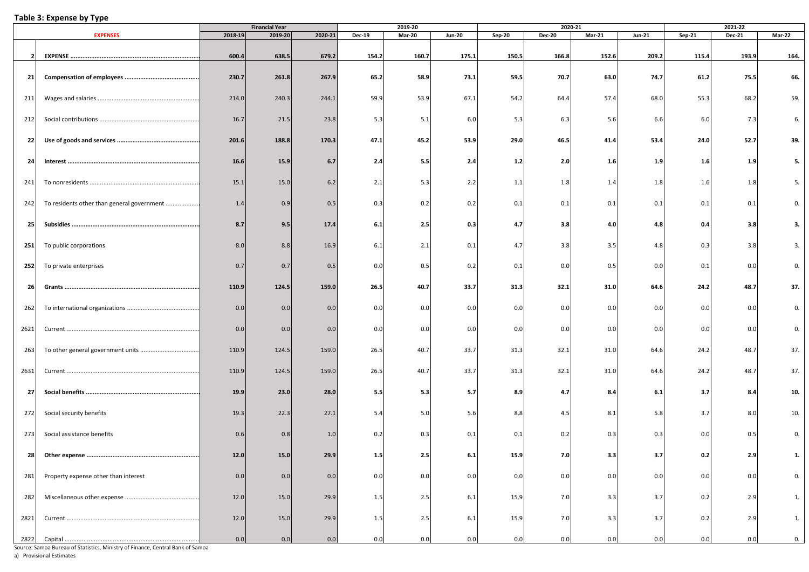#### **Table 3: Expense by Type**

|      |                                            |         | <b>Financial Year</b> |         |               | 2019-20       |               |        | 2020-21       |        |               |        | 2021-22       |        |
|------|--------------------------------------------|---------|-----------------------|---------|---------------|---------------|---------------|--------|---------------|--------|---------------|--------|---------------|--------|
|      | <b>EXPENSES</b>                            | 2018-19 | 2019-20               | 2020-21 | <b>Dec-19</b> | <b>Mar-20</b> | <b>Jun-20</b> | Sep-20 | <b>Dec-20</b> | Mar-21 | <b>Jun-21</b> | Sep-21 | <b>Dec-21</b> | Mar-22 |
| 2    |                                            | 600.4   | 638.5                 | 679.2   | 154.2         | 160.7         | 175.1         | 150.5  | 166.8         | 152.6  | 209.2         | 115.4  | 193.9         | 164.   |
| 21   |                                            | 230.7   | 261.8                 | 267.9   | 65.2          | 58.9          | 73.1          | 59.5   | 70.7          | 63.0   | 74.7          | 61.2   | 75.5          | 66.    |
| 211  |                                            | 214.0   | 240.3                 | 244.1   | 59.9          | 53.9          | 67.1          | 54.2   | 64.4          | 57.4   | 68.0          | 55.3   | 68.2          | 59.    |
| 212  |                                            | 16.7    | 21.5                  | 23.8    | 5.3           | 5.1           | 6.0           | 5.3    | 6.3           | 5.6    | 6.6           | 6.0    | 7.3           | 6.     |
| 22   |                                            | 201.6   | 188.8                 | 170.3   | 47.1          | 45.2          | 53.9          | 29.0   | 46.5          | 41.4   | 53.4          | 24.0   | 52.7          | 39.    |
| 24   |                                            | 16.6    | 15.9                  | 6.7     | 2.4           | 5.5           | 2.4           | $1.2$  | 2.0           | 1.6    | 1.9           | 1.6    | 1.9           | 5.     |
| 241  |                                            | 15.1    | 15.0                  | 6.2     | 2.1           | 5.3           | 2.2           | 1.1    | 1.8           | 1.4    | 1.8           | 1.6    | 1.8           | 5.     |
| 242  | To residents other than general government | 1.4     | 0.9                   | 0.5     | 0.3           | 0.2           | 0.2           | 0.1    | 0.1           | 0.1    | 0.1           | 0.1    | 0.1           | 0.     |
| 25   |                                            | 8.7     | 9.5                   | 17.4    | 6.1           | 2.5           | 0.3           | 4.7    | 3.8           | 4.0    | 4.8           | 0.4    | 3.8           | 3.     |
| 251  | To public corporations                     | 8.0     | 8.8                   | 16.9    | 6.1           | 2.1           | 0.1           | 4.7    | 3.8           | 3.5    | 4.8           | 0.3    | 3.8           | 3.     |
| 252  | To private enterprises                     | 0.7     | 0.7                   | 0.5     | 0.0           | 0.5           | 0.2           | 0.1    | 0.0           | 0.5    | 0.0           | 0.1    | 0.0           | 0.     |
| 26   |                                            | 110.9   | 124.5                 | 159.0   | 26.5          | 40.7          | 33.7          | 31.3   | 32.1          | 31.0   | 64.6          | 24.2   | 48.7          | 37.    |
| 262  |                                            | 0.0     | 0.0                   | 0.0     | 0.0           | 0.0           | 0.0           | 0.0    | 0.0           | 0.0    | 0.0           | 0.0    | 0.0           | 0.     |
| 2621 |                                            | 0.0     | 0.0                   | 0.0     | 0.0           | 0.0           | 0.0           | 0.0    | 0.0           | 0.0    | 0.0           | 0.0    | 0.0           | 0.     |
| 263  |                                            | 110.9   | 124.5                 | 159.0   | 26.5          | 40.7          | 33.7          | 31.3   | 32.1          | 31.0   | 64.6          | 24.2   | 48.7          | 37.    |
| 2631 |                                            | 110.9   | 124.5                 | 159.0   | 26.5          | 40.7          | 33.7          | 31.3   | 32.1          | 31.0   | 64.6          | 24.2   | 48.7          | 37.    |
| 27   |                                            | 19.9    | 23.0                  | 28.0    | 5.5           | 5.3           | 5.7           | 8.9    | 4.7           | 8.4    | 6.1           | 3.7    | 8.4           | 10.    |
| 272  | Social security benefits                   | 19.3    | 22.3                  | 27.1    | 5.4           | 5.0           | 5.6           | 8.8    | 4.5           | 8.1    | 5.8           | 3.7    | 8.0           | 10.    |
| 273  | Social assistance benefits                 | 0.6     | 0.8                   | 1.0     | 0.2           | 0.3           | 0.1           | 0.1    | 0.2           | 0.3    | 0.3           | 0.0    | 0.5           | 0.     |
| 28   |                                            | 12.0    | 15.0                  | 29.9    | $1.5 \mid$    | 2.5           | 6.1           | 15.9   | 7.0           | 3.3    | 3.7           | 0.2    | 2.9           | 1.     |
| 281  | Property expense other than interest       | 0.0     | 0.0                   | 0.0     | 0.0           | 0.0           | 0.0           | 0.0    | 0.0           | 0.0    | 0.0           | 0.0    | 0.0           | 0.     |
| 282  |                                            | 12.0    | 15.0                  | 29.9    | 1.5           | 2.5           | 6.1           | 15.9   | 7.0           | 3.3    | 3.7           | 0.2    | 2.9           | 1.     |
| 2821 |                                            | 12.0    | 15.0                  | 29.9    | 1.5           | 2.5           | 6.1           | 15.9   | 7.0           | 3.3    | 3.7           | 0.2    | 2.9           | 1.     |
| 2822 |                                            | 0.0     | 0.0                   | 0.0     | 0.0           | 0.0           | 0.0           | 0.0    | 0.0           | 0.0    | 0.0           | 0.0    | 0.0           | 0.     |

Source: Samoa Bureau of Statistics, Ministry of Finance, Central Bank of Samoa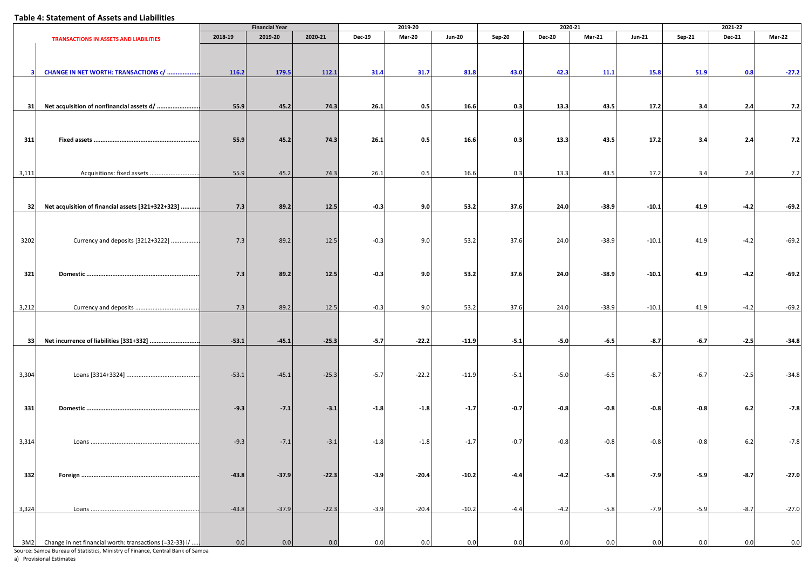#### **Table 4: Statement of Assets and Liabilities**

|       |                                                         |         | <b>Financial Year</b> |         |               | 2019-20       |               |        |               | 2020-21       |               |        | 2021-22       |         |
|-------|---------------------------------------------------------|---------|-----------------------|---------|---------------|---------------|---------------|--------|---------------|---------------|---------------|--------|---------------|---------|
|       | <b>TRANSACTIONS IN ASSETS AND LIABILITIES</b>           | 2018-19 | 2019-20               | 2020-21 | <b>Dec-19</b> | <b>Mar-20</b> | <b>Jun-20</b> | Sep-20 | <b>Dec-20</b> | <b>Mar-21</b> | <b>Jun-21</b> | Sep-21 | <b>Dec-21</b> | Mar-22  |
|       |                                                         |         |                       |         |               |               |               |        |               |               |               |        |               |         |
|       | CHANGE IN NET WORTH: TRANSACTIONS c/                    | 116.2   | 179.5                 | 112.1   | 31.4          | 31.7          | 81.8          | 43.0   | 42.3          | 11.1          | 15.8          | 51.9   | 0.8           | $-27.2$ |
| 31    | Net acquisition of nonfinancial assets d/               |         |                       |         |               | 0.5           |               |        |               |               |               |        |               |         |
|       |                                                         | 55.9    | 45.2                  | 74.3    | 26.1          |               | 16.6          | 0.3    | 13.3          | 43.5          | 17.2          | 3.4    | 2.4           | 7.2     |
| 311   |                                                         | 55.9    | 45.2                  | 74.3    | 26.1          | 0.5           | 16.6          | 0.3    | 13.3          | 43.5          | 17.2          | 3.4    | 2.4           | 7.2     |
|       |                                                         |         |                       |         |               |               |               |        |               |               |               |        |               |         |
| 3,111 | Acquisitions: fixed assets                              | 55.9    | 45.2                  | 74.3    | 26.1          | 0.5           | 16.6          | 0.3    | 13.3          | 43.5          | 17.2          | 3.4    | 2.4           | 7.2     |
|       |                                                         |         |                       |         |               |               |               |        |               |               |               |        |               |         |
| 32    | Net acquisition of financial assets [321+322+323]       | 7.3     | 89.2                  | 12.5    | $-0.3$        | 9.0           | 53.2          | 37.6   | 24.0          | $-38.9$       | $-10.1$       | 41.9   | $-4.2$        | $-69.2$ |
|       |                                                         |         |                       |         |               |               |               |        |               |               |               |        |               |         |
|       |                                                         |         |                       |         |               |               |               |        |               |               |               |        |               |         |
| 3202  | Currency and deposits [3212+3222]                       | 7.3     | 89.2                  | 12.5    | $-0.3$        | 9.0           | 53.2          | 37.6   | 24.0          | $-38.9$       | $-10.1$       | 41.9   | $-4.2$        | $-69.2$ |
|       |                                                         |         |                       |         |               |               |               |        |               |               |               |        |               |         |
| 321   |                                                         | 7.3     | 89.2                  | 12.5    | $-0.3$        | 9.0           | 53.2          | 37.6   | 24.0          | $-38.9$       | $-10.1$       | 41.9   | $-4.2$        | $-69.2$ |
|       |                                                         |         |                       |         |               |               |               |        |               |               |               |        |               |         |
|       |                                                         |         |                       |         |               |               |               |        |               |               |               |        |               |         |
| 3,212 |                                                         | 7.3     | 89.2                  | 12.5    | $-0.3$        | 9.0           | 53.2          | 37.6   | 24.0          | $-38.9$       | $-10.1$       | 41.9   | $-4.2$        | $-69.2$ |
|       |                                                         |         |                       |         |               |               |               |        |               |               |               |        |               |         |
|       |                                                         |         |                       |         |               |               |               |        |               |               |               |        |               |         |
| 33    | Net incurrence of liabilities [331+332]                 | $-53.1$ | $-45.1$               | $-25.3$ | $-5.7$        | $-22.2$       | $-11.9$       | $-5.1$ | $-5.0$        | $-6.5$        | $-8.7$        | $-6.7$ | $-2.5$        | $-34.8$ |
|       |                                                         |         |                       |         |               |               |               |        |               |               |               |        |               |         |
| 3,304 |                                                         | $-53.1$ | $-45.1$               | $-25.3$ | $-5.7$        | $-22.2$       | $-11.9$       | $-5.1$ | $-5.0$        | $-6.5$        | $-8.7$        | $-6.7$ | $-2.5$        | $-34.8$ |
|       |                                                         |         |                       |         |               |               |               |        |               |               |               |        |               |         |
|       |                                                         |         |                       |         |               |               |               |        |               |               |               |        |               |         |
| 331   |                                                         | $-9.3$  | $-7.1$                | $-3.1$  | $-1.8$        | $-1.8$        | $-1.7$        | $-0.7$ | $-0.8$        | $-0.8$        | $-0.8$        | $-0.8$ | 6.2           | $-7.8$  |
|       |                                                         |         |                       |         |               |               |               |        |               |               |               |        |               |         |
| 3,314 |                                                         | $-9.3$  | $-7.1$                | $-3.1$  | $-1.8$        | $-1.8$        | $-1.7$        | $-0.7$ | $-0.8$        | $-0.8$        | $-0.8$        | $-0.8$ | $6.2$         | $-7.8$  |
|       |                                                         |         |                       |         |               |               |               |        |               |               |               |        |               |         |
|       |                                                         |         |                       |         |               |               |               |        |               |               |               |        |               |         |
| 332   |                                                         | $-43.8$ | $-37.9$               | $-22.3$ | $-3.9$        | $-20.4$       | $-10.2$       | $-4.4$ | $-4.2$        | $-5.8$        | $-7.9$        | $-5.9$ | $-8.7$        | $-27.0$ |
|       |                                                         |         |                       |         |               |               |               |        |               |               |               |        |               |         |
|       |                                                         |         |                       |         |               |               |               |        |               |               |               |        |               |         |
| 3,324 |                                                         | $-43.8$ | $-37.9$               | $-22.3$ | $-3.9$        | $-20.4$       | $-10.2$       | $-4.4$ | $-4.2$        | $-5.8$        | $-7.9$        | $-5.9$ | $-8.7$        | $-27.0$ |
|       |                                                         |         |                       |         |               |               |               |        |               |               |               |        |               |         |
| 3M2   | Change in net financial worth: transactions (=32-33) i/ | 0.0     | 0.0                   | 0.0     | 0.0           | 0.0           | 0.0           | 0.0    | 0.0           | 0.0           | 0.0           | 0.0    | 0.0           | 0.0     |

Source: Samoa Bureau of Statistics, Ministry of Finance, Central Bank of Samoa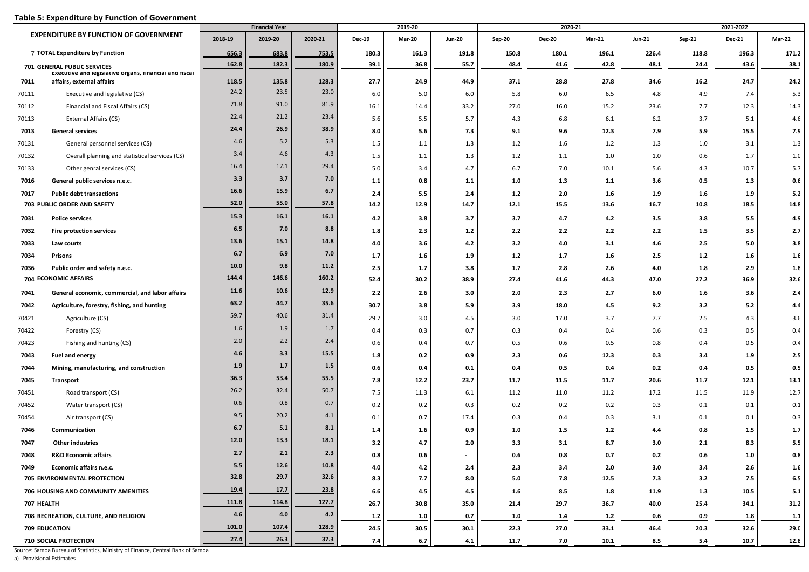## **Table 5: Expenditure by Function of Government**

|       |                                                                                     |         | <b>Financial Year</b> |         | 2019-20       |         |               |               | 2020-21       |               |               | 2021-2022 |               |               |  |
|-------|-------------------------------------------------------------------------------------|---------|-----------------------|---------|---------------|---------|---------------|---------------|---------------|---------------|---------------|-----------|---------------|---------------|--|
|       | <b>EXPENDITURE BY FUNCTION OF GOVERNMENT</b>                                        | 2018-19 | 2019-20               | 2020-21 | <b>Dec-19</b> | Mar-20  | <b>Jun-20</b> | <b>Sep-20</b> | <b>Dec-20</b> | <b>Mar-21</b> | <b>Jun-21</b> | $Sep-21$  | <b>Dec-21</b> | <b>Mar-22</b> |  |
|       | 7 TOTAL Expenditure by Function                                                     | 656.3   | 683.8                 | 753.5   | 180.3         | 161.3   | 191.8         | 150.8         | 180.1         | 196.1         | 226.4         | 118.8     | 196.3         | 171.2         |  |
|       | 701 GENERAL PUBLIC SERVICES                                                         | 162.8   | 182.3                 | 180.9   | 39.1          | 36.8    | 55.7          | 48.4          | 41.6          | 42.8          | 48.1          | 24.4      | 43.6          | 38.1          |  |
| 7011  | Executive and legislative organs, financial and fiscal<br>affairs, external affairs | 118.5   | 135.8                 | 128.3   | 27.7          | 24.9    | 44.9          | 37.1          | 28.8          | 27.8          | 34.6          | 16.2      | 24.7          | 24.2          |  |
| 70111 | Executive and legislative (CS)                                                      | 24.2    | 23.5                  | 23.0    | 6.0           | 5.0     | 6.0           | 5.8           | 6.0           | 6.5           | 4.8           | 4.9       | 7.4           | 5.3           |  |
| 70112 | Financial and Fiscal Affairs (CS)                                                   | 71.8    | 91.0                  | 81.9    | 16.1          | 14.4    | 33.2          | 27.0          | 16.0          | 15.2          | 23.6          | 7.7       | 12.3          | 14.3          |  |
| 70113 | External Affairs (CS)                                                               | 22.4    | 21.2                  | 23.4    | 5.6           | 5.5     | 5.7           | 4.3           | 6.8           | 6.1           | 6.2           | 3.7       | 5.1           | 4.6           |  |
| 7013  | <b>General services</b>                                                             | 24.4    | 26.9                  | 38.9    | 8.0           | 5.6     | 7.3           | 9.1           | 9.6           | 12.3          | 7.9           | 5.9       | 15.5          | 7.9           |  |
| 70131 | General personnel services (CS)                                                     | 4.6     | 5.2                   | 5.3     | 1.5           | 1.1     | 1.3           | 1.2           | 1.6           | 1.2           | 1.3           | 1.0       | 3.1           | 1.3           |  |
| 70132 | Overall planning and statistical services (CS)                                      | 3.4     | 4.6                   | 4.3     | 1.5           | 1.1     | 1.3           | 1.2           | 1.1           | 1.0           | 1.0           | 0.6       | 1.7           | 1.f           |  |
| 70133 | Other genral services (CS)                                                          | 16.4    | 17.1                  | 29.4    | 5.0           | 3.4     | 4.7           | 6.7           | 7.0           | 10.1          | 5.6           | 4.3       | 10.7          | 5.7           |  |
| 7016  | General public services n.e.c.                                                      | 3.3     | 3.7                   | 7.0     | $1.1$         | 0.8     | $1.1$         | 1.0           | 1.3           | 1.1           | 3.6           | 0.5       | 1.3           | 0.6           |  |
| 7017  | <b>Public debt transactions</b>                                                     | 16.6    | 15.9                  | 6.7     | 2.4           | 5.5     | 2.4           | $1.2$         | 2.0           | 1.6           | 1.9           | 1.6       | 1.9           | 5.2           |  |
|       | 703 PUBLIC ORDER AND SAFETY                                                         | 52.0    | 55.0                  | 57.8    | 14.2          | 12.9    | 14.7          | 12.1          | 15.5          | 13.6          | 16.7          | 10.8      | 18.5          | 14.8          |  |
| 7031  | <b>Police services</b>                                                              | 15.3    | 16.1                  | 16.1    | 4.2           | 3.8     | 3.7           | 3.7           | 4.7           | 4.2           | 3.5           | 3.8       | 5.5           | 4.9           |  |
| 7032  | <b>Fire protection services</b>                                                     | 6.5     | 7.0                   | 8.8     | 1.8           | 2.3     | $1.2$         | 2.2           | 2.2           | 2.2           | 2.2           | $1.5$     | 3.5           | 2.7           |  |
| 7033  | Law courts                                                                          | 13.6    | 15.1                  | 14.8    | 4.0           | 3.6     | 4.2           | 3.2           | 4.0           | 3.1           | 4.6           | 2.5       | 5.0           | 3.8           |  |
| 7034  | <b>Prisons</b>                                                                      | 6.7     | 6.9                   | 7.0     | 1.7           | 1.6     | 1.9           | $1.2$         | 1.7           | 1.6           | 2.5           | 1.2       | 1.6           | 1.6           |  |
| 7036  | Public order and safety n.e.c.                                                      | 10.0    | 9.8                   | 11.2    | 2.5           | 1.7     | 3.8           | 1.7           | 2.8           | 2.6           | 4.0           | 1.8       | 2.9           | 1.8           |  |
| 704   | <b>ECONOMIC AFFAIRS</b>                                                             | 144.4   | 146.6                 | 160.2   | 52.4          | 30.2    | 38.9          | 27.4          | 41.6          | 44.3          | 47.0          | 27.2      | 36.9          | 32.6          |  |
| 7041  | General economic, commercial, and labor affairs                                     | 11.6    | 10.6                  | 12.9    | 2.2           | 2.6     | 3.0           | 2.0           | 2.3           | 2.7           | 6.0           | 1.6       | 3.6           | 2.4           |  |
| 7042  | Agriculture, forestry, fishing, and hunting                                         | 63.2    | 44.7                  | 35.6    | 30.7          | 3.8     | 5.9           | 3.9           | 18.0          | 4.5           | 9.2           | 3.2       | 5.2           | 4.4           |  |
| 70421 | Agriculture (CS)                                                                    | 59.7    | 40.6                  | 31.4    | 29.7          | 3.0     | 4.5           | 3.0           | 17.0          | 3.7           | 7.7           | 2.5       | 4.3           | 3.f           |  |
| 70422 | Forestry (CS)                                                                       | 1.6     | 1.9                   | 1.7     | 0.4           | 0.3     | 0.7           | 0.3           | 0.4           | 0.4           | 0.6           | 0.3       | 0.5           | 0.4           |  |
| 70423 | Fishing and hunting (CS)                                                            | 2.0     | 2.2                   | 2.4     | 0.6           | 0.4     | 0.7           | 0.5           | 0.6           | 0.5           | 0.8           | 0.4       | 0.5           | 0.4           |  |
| 7043  | Fuel and energy                                                                     | 4.6     | 3.3                   | 15.5    | 1.8           | 0.2     | 0.9           | 2.3           | 0.6           | 12.3          | 0.3           | 3.4       | 1.9           | 2.5           |  |
| 7044  | Mining, manufacturing, and construction                                             | 1.9     | 1.7                   | 1.5     | 0.6           | 0.4     | 0.1           | 0.4           | 0.5           | 0.4           | 0.2           | 0.4       | 0.5           | 0.5           |  |
| 7045  | <b>Transport</b>                                                                    | 36.3    | 53.4                  | 55.5    | 7.8           | 12.2    | 23.7          | 11.7          | 11.5          | 11.7          | 20.6          | 11.7      | 12.1          | 13.1          |  |
| 70451 | Road transport (CS)                                                                 | 26.2    | 32.4                  | 50.7    | 7.5           | 11.3    | 6.1           | 11.2          | 11.0          | 11.2          | 17.2          | 11.5      | 11.9          | 12.7          |  |
| 70452 | Water transport (CS)                                                                | 0.6     | 0.8                   | 0.7     | 0.2           | 0.2     | 0.3           | 0.2           | 0.2           | 0.2           | 0.3           | 0.1       | 0.1           | 0.1           |  |
| 70454 | Air transport (CS)                                                                  | 9.5     | 20.2                  | 4.1     | 0.1           | 0.7     | 17.4          | 0.3           | 0.4           | 0.3           | 3.1           | 0.1       | 0.1           | 0.3           |  |
| 7046  | Communication                                                                       | 6.7     | 5.1                   | 8.1     | 1.4           | 1.6     | 0.9           | 1.0           | 1.5           | $1.2$         | 4.4           | 0.8       | 1.5           | 1.7           |  |
| 7047  | <b>Other industries</b>                                                             | 12.0    | 13.3                  | 18.1    | 3.2           | 4.7     | 2.0           | 3.3           | 3.1           | 8.7           | 3.0           | 2.1       | 8.3           | 5.5           |  |
| 7048  | <b>R&amp;D Economic affairs</b>                                                     | 2.7     | 2.1                   | 2.3     | $0.8\,$       | $0.6\,$ |               | 0.6           | 0.8           | 0.7           | 0.2           | $0.6\,$   | $1.0\,$       | 0.8           |  |
| 7049  | Economic affairs n.e.c.                                                             | 5.5     | 12.6                  | 10.8    | 4.0           | 4.2     | 2.4           | 2.3           | 3.4           | 2.0           | 3.0           | 3.4       | 2.6           | 1.6           |  |
|       | 705 ENVIRONMENTAL PROTECTION                                                        | 32.8    | 29.7                  | 32.6    | 8.3           | 7.7     | 8.0           | 5.0           | 7.8           | 12.5          | 7.3           | 3.2       | 7.5           | 6.5           |  |
|       | 706 HOUSING AND COMMUNITY AMENITIES                                                 | 19.4    | 17.7                  | 23.8    | 6.6           | 4.5     | 4.5           | 1.6           | 8.5           | 1.8           | 11.9          | 1.3       | 10.5          | 5.1           |  |
|       | 707 HEALTH                                                                          | 111.8   | 114.8                 | 127.7   | 26.7          | 30.8    | 35.0          | 21.4          | 29.7          | 36.7          | 40.0          | 25.4      | 34.1          | 31.2          |  |
|       | 708 RECREATION, CULTURE, AND RELIGION                                               | 4.6     | 4.0                   | 4.2     | $1.2$         | 1.0     | 0.7           | 1.0           | 1.4           | $1.2$         | 0.6           | 0.9       | 1.8           | 1.1           |  |
|       | 709 EDUCATION                                                                       | 101.0   | 107.4                 | 128.9   | 24.5          | 30.5    | 30.1          | 22.3          | 27.0          | 33.1          | 46.4          | 20.3      | 32.6          | 29.0          |  |
|       | 710 SOCIAL PROTECTION                                                               | 27.4    | 26.3                  | 37.3    | 7.4           | 6.7     | 4.1           | 11.7          | 7.0           | 10.1          | 8.5           | 5.4       | 10.7          | 12.8          |  |

Source: Samoa Bureau of Statistics, Ministry of Finance, Central Bank of Samoa